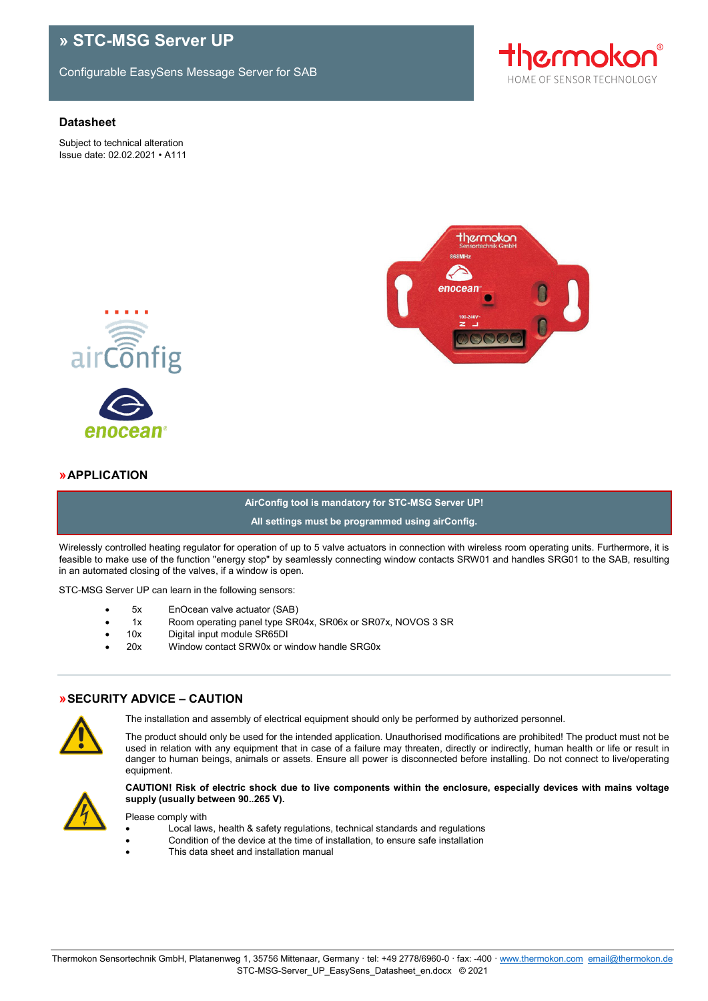# **» STC-MSG Server UP**

Configurable EasySens Message Server for SAB

#### **Datasheet**

Subject to technical alteration Issue date: 02.02.2021 • A111







### **»APPLICATION**

# **AirConfig tool is mandatory for STC-MSG Server UP! All settings must be programmed using airConfig.**

Wirelessly controlled heating regulator for operation of up to 5 valve actuators in connection with wireless room operating units. Furthermore, it is feasible to make use of the function "energy stop" by seamlessly connecting window contacts SRW01 and handles SRG01 to the SAB, resulting in an automated closing of the valves, if a window is open.

STC-MSG Server UP can learn in the following sensors:

- 5x EnOcean valve actuator (SAB)
- •1x Room operating panel type SR04x, SR06x or SR07x, NOVOS 3 SR
- 10x Digital input module SR65DI
- 20x Window contact SRW0x or window handle SRG0x

# **»SECURITY ADVICE – CAUTION**



The installation and assembly of electrical equipment should only be performed by authorized personnel.

The product should only be used for the intended application. Unauthorised modifications are prohibited! The product must not be used in relation with any equipment that in case of a failure may threaten, directly or indirectly, human health or life or result in danger to human beings, animals or assets. Ensure all power is disconnected before installing. Do not connect to live/operating equipment.



**CAUTION! Risk of electric shock due to live components within the enclosure, especially devices with mains voltage supply (usually between 90..265 V).**

Please comply with

- Local laws, health & safety regulations, technical standards and regulations
- Condition of the device at the time of installation, to ensure safe installation
- This data sheet and installation manual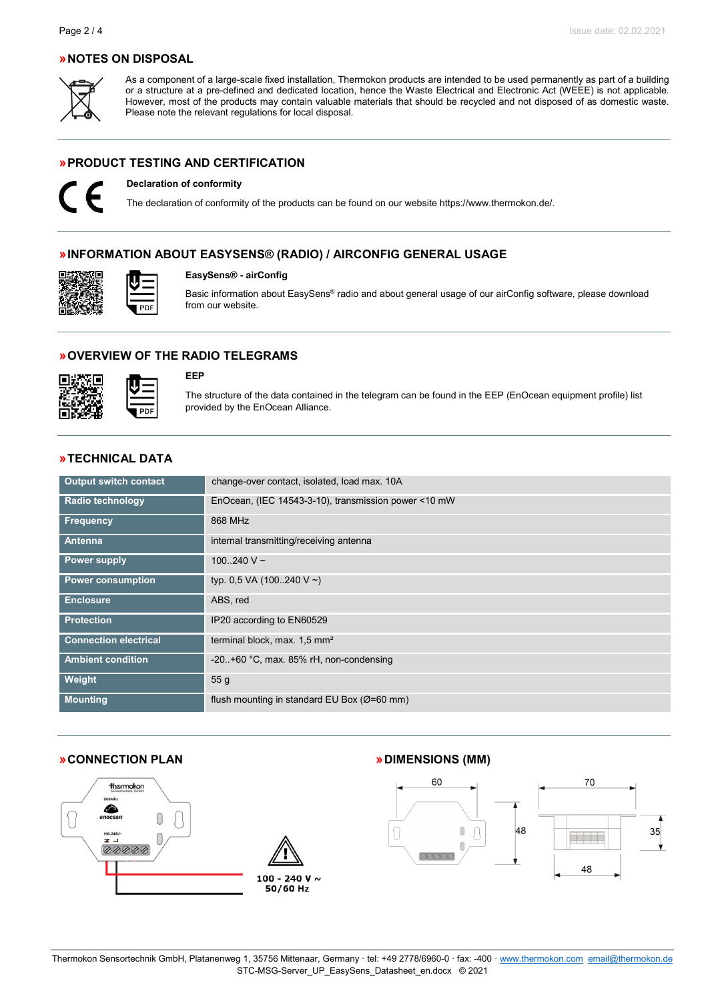### **»NOTES ON DISPOSAL**



As a component of a large-scale fixed installation, Thermokon products are intended to be used permanently as part of a building or a structure at a pre-defined and dedicated location, hence the Waste Electrical and Electronic Act (WEEE) is not applicable. However, most of the products may contain valuable materials that should be recycled and not disposed of as domestic waste. Please note the relevant regulations for local disposal.

### **»PRODUCT TESTING AND CERTIFICATION**



**Declaration of conformity**

The declaration of conformity of the products can be found on our websit[e https://www.thermokon.de/.](https://www.thermokon.de/downloadcenter/)

### **»INFORMATION ABOUT EASYSENS® (RADIO) / AIRCONFIG GENERAL USAGE**



#### **EasySens® - airConfig**

Basic information about EasySens® radio and about general usage of our airConfig software, please download from our website.

### **»OVERVIEW OF THE RADIO TELEGRAMS**



#### **EEP**

The structure of the data contained in the telegram can be found in the EEP (EnOcean equipment profile) list provided by the EnOcean Alliance.

### **»TECHNICAL DATA**

PDI

| <b>Output switch contact</b> | change-over contact, isolated, load max. 10A              |
|------------------------------|-----------------------------------------------------------|
| <b>Radio technology</b>      | EnOcean, (IEC 14543-3-10), transmission power <10 mW      |
| <b>Frequency</b>             | 868 MHz                                                   |
| Antenna                      | internal transmitting/receiving antenna                   |
| <b>Power supply</b>          | 100240 V $\sim$                                           |
| <b>Power consumption</b>     | typ. 0,5 VA (100240 V ~)                                  |
| <b>Enclosure</b>             | ABS, red                                                  |
| <b>Protection</b>            | IP20 according to EN60529                                 |
| <b>Connection electrical</b> | terminal block, max. 1,5 mm <sup>2</sup>                  |
| <b>Ambient condition</b>     | $-20.+60$ °C, max. 85% rH, non-condensing                 |
| Weight                       | 55 <sub>g</sub>                                           |
| <b>Mounting</b>              | flush mounting in standard EU Box ( $\varnothing$ =60 mm) |

#### **»CONNECTION PLAN »DIMENSIONS (MM)**





 $\begin{array}{c} \n\end{array}$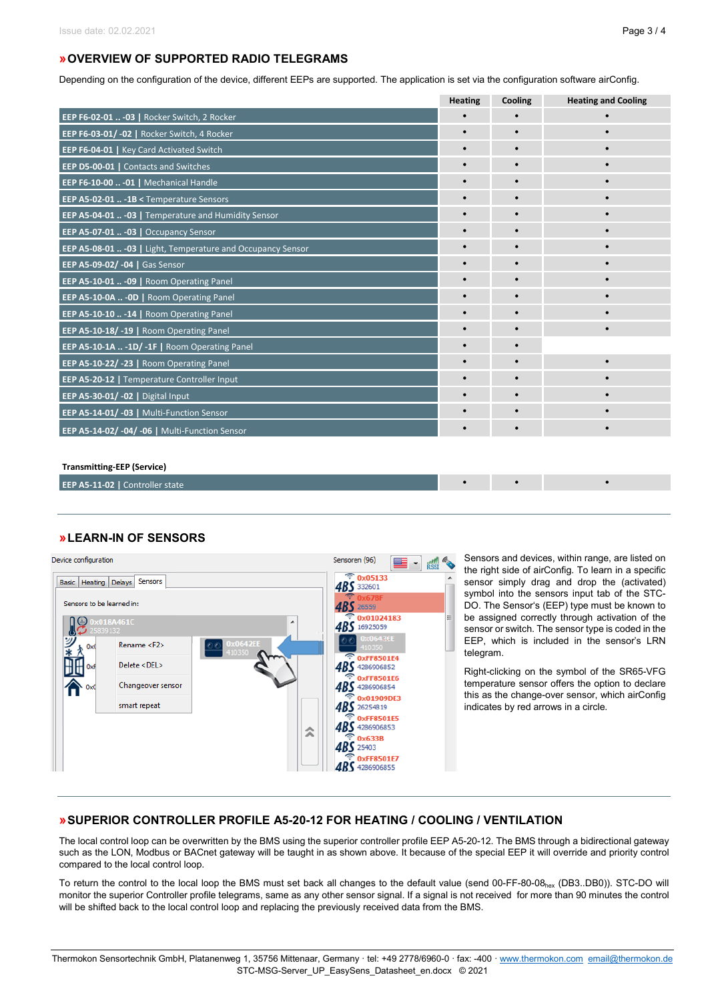# **»OVERVIEW OF SUPPORTED RADIO TELEGRAMS**

Depending on the configuration of the device, different EEPs are supported. The application is set via the configuration software airConfig.

|                                                              | <b>Heating</b> | Cooling   | <b>Heating and Cooling</b> |
|--------------------------------------------------------------|----------------|-----------|----------------------------|
| EEP F6-02-01  - 03   Rocker Switch, 2 Rocker                 |                |           |                            |
| EEP F6-03-01/-02   Rocker Switch, 4 Rocker                   |                |           |                            |
| <b>EEP F6-04-01   Key Card Activated Switch</b>              |                |           |                            |
| <b>EEP D5-00-01   Contacts and Switches</b>                  |                |           |                            |
| EEP F6-10-00  - 01   Mechanical Handle                       | $\bullet$      | $\bullet$ |                            |
| EEP A5-02-01  -1B < Temperature Sensors                      |                |           |                            |
| EEP A5-04-01  - 03   Temperature and Humidity Sensor         |                |           |                            |
| EEP A5-07-01  -03   Occupancy Sensor                         |                |           |                            |
| EEP A5-08-01  - 03   Light, Temperature and Occupancy Sensor | $\bullet$      |           |                            |
| EEP A5-09-02/ -04   Gas Sensor                               | $\bullet$      |           | $\bullet$                  |
| EEP A5-10-01  - 09   Room Operating Panel                    |                |           |                            |
| EEP A5-10-0A  - 0D   Room Operating Panel                    |                |           |                            |
| EEP A5-10-10  -14   Room Operating Panel                     |                |           |                            |
| EEP A5-10-18/-19   Room Operating Panel                      | $\bullet$      |           | $\bullet$                  |
| EEP A5-10-1A  -1D/ -1F   Room Operating Panel                |                |           |                            |
| EEP A5-10-22/-23   Room Operating Panel                      | $\bullet$      |           |                            |
| EEP A5-20-12   Temperature Controller Input                  | $\bullet$      |           |                            |
| EEP A5-30-01/ -02   Digital Input                            | $\bullet$      |           |                            |
| EEP A5-14-01/-03   Multi-Function Sensor                     |                |           |                            |
| EEP A5-14-02/-04/-06   Multi-Function Sensor                 |                |           |                            |

#### **Transmitting-EEP (Service)**

**EEP A5-11-02 | Controller state** 

# **»LEARN-IN OF SENSORS**



Sensors and devices, within range, are listed on the right side of airConfig. To learn in a specific sensor simply drag and drop the (activated) symbol into the sensors input tab of the STC-DO. The Sensor's (EEP) type must be known to be assigned correctly through activation of the sensor or switch. The sensor type is coded in the EEP, which is included in the sensor's LRN telegram.

Right-clicking on the symbol of the SR65-VFG temperature sensor offers the option to declare this as the change-over sensor, which airConfig indicates by red arrows in a circle.

# **»SUPERIOR CONTROLLER PROFILE A5-20-12 FOR HEATING / COOLING / VENTILATION**

The local control loop can be overwritten by the BMS using the superior controller profile EEP A5-20-12. The BMS through a bidirectional gateway such as the LON, Modbus or BACnet gateway will be taught in as shown above. It because of the special EEP it will override and priority control compared to the local control loop.

To return the control to the local loop the BMS must set back all changes to the default value (send 00-FF-80-08hex (DB3..DB0)). STC-DO will monitor the superior Controller profile telegrams, same as any other sensor signal. If a signal is not received for more than 90 minutes the control will be shifted back to the local control loop and replacing the previously received data from the BMS.